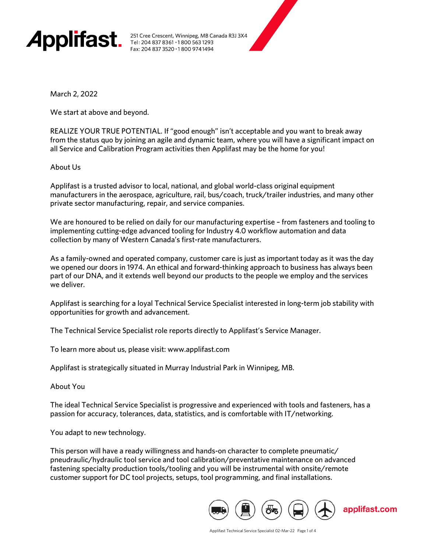

251 Cree Crescent, Winnipeg, MB Canada R3J 3X4 Tel: 204 837 8361 · 1800 563 1293 Fax: 204 837 3520 · 1800 9741494

March 2, 2022

We start at above and beyond.

REALIZE YOUR TRUE POTENTIAL. If "good enough" isn't acceptable and you want to break away from the status quo by joining an agile and dynamic team, where you will have a significant impact on all Service and Calibration Program activities then Applifast may be the home for you!

About Us

Applifast is a trusted advisor to local, national, and global world-class original equipment manufacturers in the aerospace, agriculture, rail, bus/coach, truck/trailer industries, and many other private sector manufacturing, repair, and service companies.

We are honoured to be relied on daily for our manufacturing expertise – from fasteners and tooling to implementing cutting-edge advanced tooling for Industry 4.0 workflow automation and data collection by many of Western Canada's first-rate manufacturers.

As a family-owned and operated company, customer care is just as important today as it was the day we opened our doors in 1974. An ethical and forward-thinking approach to business has always been part of our DNA, and it extends well beyond our products to the people we employ and the services we deliver.

Applifast is searching for a loyal Technical Service Specialist interested in long-term job stability with opportunities for growth and advancement.

The Technical Service Specialist role reports directly to Applifast's Service Manager.

To learn more about us, please visit: www.applifast.com

Applifast is strategically situated in Murray Industrial Park in Winnipeg, MB.

About You

The ideal Technical Service Specialist is progressive and experienced with tools and fasteners, has a passion for accuracy, tolerances, data, statistics, and is comfortable with IT/networking.

You adapt to new technology.

This person will have a ready willingness and hands-on character to complete pneumatic/ pneudraulic/hydraulic tool service and tool calibration/preventative maintenance on advanced fastening specialty production tools/tooling and you will be instrumental with onsite/remote customer support for DC tool projects, setups, tool programming, and final installations.

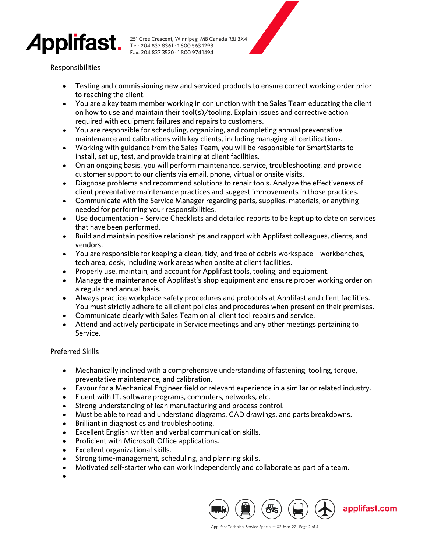

251 Cree Crescent, Winnipeg, MB Canada R3J 3X4<br>Tel: 204 837 8361 •1 800 563 1293 Fax: 204 837 3520 · 1800 974 1494

# Responsibilities

- Testing and commissioning new and serviced products to ensure correct working order prior to reaching the client.
- You are a key team member working in conjunction with the Sales Team educating the client on how to use and maintain their tool(s)/tooling. Explain issues and corrective action required with equipment failures and repairs to customers.
- You are responsible for scheduling, organizing, and completing annual preventative maintenance and calibrations with key clients, including managing all certifications.
- Working with guidance from the Sales Team, you will be responsible for SmartStarts to install, set up, test, and provide training at client facilities.
- On an ongoing basis, you will perform maintenance, service, troubleshooting, and provide customer support to our clients via email, phone, virtual or onsite visits.
- Diagnose problems and recommend solutions to repair tools. Analyze the effectiveness of client preventative maintenance practices and suggest improvements in those practices.
- Communicate with the Service Manager regarding parts, supplies, materials, or anything needed for performing your responsibilities.
- Use documentation Service Checklists and detailed reports to be kept up to date on services that have been performed.
- Build and maintain positive relationships and rapport with Applifast colleagues, clients, and vendors.
- You are responsible for keeping a clean, tidy, and free of debris workspace workbenches, tech area, desk, including work areas when onsite at client facilities.
- Properly use, maintain, and account for Applifast tools, tooling, and equipment.
- Manage the maintenance of Applifast's shop equipment and ensure proper working order on a regular and annual basis.
- Always practice workplace safety procedures and protocols at Applifast and client facilities. You must strictly adhere to all client policies and procedures when present on their premises.
- Communicate clearly with Sales Team on all client tool repairs and service.
- Attend and actively participate in Service meetings and any other meetings pertaining to Service.

## Preferred Skills

- Mechanically inclined with a comprehensive understanding of fastening, tooling, torque, preventative maintenance, and calibration.
- Favour for a Mechanical Engineer field or relevant experience in a similar or related industry.
- Fluent with IT, software programs, computers, networks, etc.
- Strong understanding of lean manufacturing and process control.
- Must be able to read and understand diagrams, CAD drawings, and parts breakdowns.
- Brilliant in diagnostics and troubleshooting.
- Excellent English written and verbal communication skills.
- Proficient with Microsoft Office applications.
- Excellent organizational skills.
- Strong time-management, scheduling, and planning skills.
- Motivated self-starter who can work independently and collaborate as part of a team.
- •

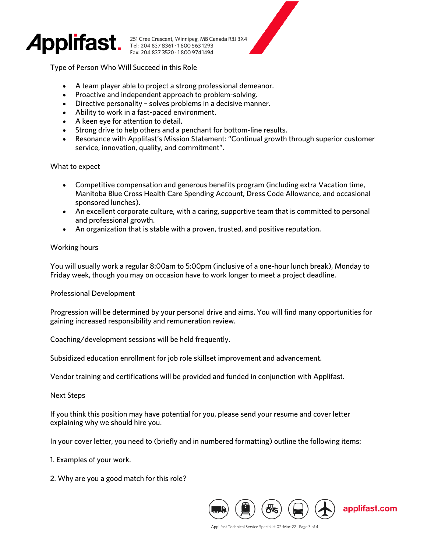

251 Cree Crescent, Winnipeg, MB Canada R3J 3X4<br>Tel: 204 837 8361 •1 800 563 1293 Fax: 204 837 3520 · 1800 9741494

Type of Person Who Will Succeed in this Role

- A team player able to project a strong professional demeanor.
- Proactive and independent approach to problem-solving.
- Directive personality solves problems in a decisive manner.
- Ability to work in a fast-paced environment.
- A keen eye for attention to detail.
- Strong drive to help others and a penchant for bottom-line results.
- Resonance with Applifast's Mission Statement: "Continual growth through superior customer service, innovation, quality, and commitment".

#### What to expect

- Competitive compensation and generous benefits program (including extra Vacation time, Manitoba Blue Cross Health Care Spending Account, Dress Code Allowance, and occasional sponsored lunches).
- An excellent corporate culture, with a caring, supportive team that is committed to personal and professional growth.
- An organization that is stable with a proven, trusted, and positive reputation.

### Working hours

You will usually work a regular 8:00am to 5:00pm (inclusive of a one-hour lunch break), Monday to Friday week, though you may on occasion have to work longer to meet a project deadline.

#### Professional Development

Progression will be determined by your personal drive and aims. You will find many opportunities for gaining increased responsibility and remuneration review.

Coaching/development sessions will be held frequently.

Subsidized education enrollment for job role skillset improvement and advancement.

Vendor training and certifications will be provided and funded in conjunction with Applifast.

Next Steps

If you think this position may have potential for you, please send your resume and cover letter explaining why we should hire you.

In your cover letter, you need to (briefly and in numbered formatting) outline the following items:

- 1. Examples of your work.
- 2. Why are you a good match for this role?



Applifast Technical Service Specialist 02-Mar-22 Page 3 of 4